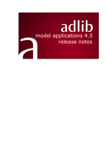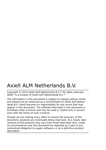# Axiell ALM Netherlands B.V.

Copyright © 2015 Axiell ALM Netherlands B.V.® All rights reserved. Adlib® is a product of Axiell ALM Netherlands B.V.®

The information in this document is subject to change without notice and should not be construed as a commitment by Axiell ALM Netherlands B.V. Axiell assumes no responsibility for any errors that may appear in this document. The software described in this document is furnished under a licence and may be used or copied only in accordance with the terms of such a licence.

Though we are making every effort to ensure the accuracy of this document, products are continually being improved. As a result, later versions of the products may vary from those described here. Under no circumstances may this document be regarded as a part of any contractual obligation to supply software, or as a definitive product description.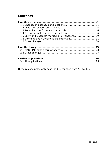# **Contents**

| 1.4 Output formats for locations and containers  6 |  |
|----------------------------------------------------|--|
| 1.5 Entry and Despatch merged into Transport 9     |  |
| 1.6 Incoming and Outgoing loans improved  11       |  |
|                                                    |  |
|                                                    |  |
|                                                    |  |
|                                                    |  |
|                                                    |  |
|                                                    |  |
|                                                    |  |
|                                                    |  |
|                                                    |  |

These release notes only describe the changes from 4.4 to 4.5.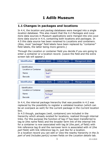# <span id="page-4-1"></span><span id="page-4-0"></span>**1.1 Changes in packages and locations**

In 4.4, the *location* and *packag* databases were merged into a single *location* database. This also meant that the 4.2 *Packages* and *Locations* data sources in Museum applications were merged into one *Locations* data source in 4.4, containing both locations and packages. In 4.5 this data source has been renamed to *Locations and containers*. (Also, most "package" field labels have been replaced by "container" field labels, the latter being more generic.)

Through the *Location or container* field you decide if you are going to enter a container or a location record. (Leave the field and the extra screen tab will appear.)

| <b>Identification</b>                                  | Location details                  | Linked objects | Management details |
|--------------------------------------------------------|-----------------------------------|----------------|--------------------|
| Identification<br><b>Location or Container</b><br>Name | location<br>Shelf 1               |                |                    |
| Barcode<br><b>Identification</b>                       | 10001<br><b>Container details</b> |                |                    |
| Identification                                         |                                   | Linked objects | Management details |
|                                                        |                                   |                |                    |
| <b>Location or Container</b>                           | container                         |                |                    |
| Name                                                   | Package1                          |                |                    |

In 4.4, the internal package hierarchy that was possible in 4.2 was replaced by the possibility to register a validated location (which can be an overpack as well) for the current package in the *Current location* box.

In 4.5 though, packages (well, containers) are included in the hierarchy which already existed for locations, realized through internal links. For this purpose the function of tag *t7* has been transferred to tag *te* (the *name* field) and the broader term link of the internal link for a container is now associated with tag *bt* (the *part\_of* field) with link reference tag *lb* and the narrower term is associated with *nt* (the *part* field) with link reference tag *ln*, just like for a location. In a location record you can edit or view the nearby hierarchy in the *Is*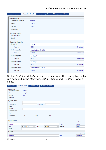| Identification |                         | <b>Location details</b> | Linked objects      | Management details |           |
|----------------|-------------------------|-------------------------|---------------------|--------------------|-----------|
| Identification | Location or Container   | location                |                     |                    |           |
|                |                         |                         |                     |                    |           |
| Name           |                         | Shelf 1                 |                     |                    |           |
| Barcode        |                         | 10001                   |                     |                    |           |
| Description    |                         |                         |                     |                    |           |
|                | <b>Location details</b> |                         |                     |                    |           |
|                | Location type           |                         |                     |                    |           |
| Level          |                         |                         |                     |                    |           |
|                | Location hierarchy      |                         |                     |                    |           |
| Is part of     |                         | Cab A                   |                     |                    |           |
|                | Barcode                 | 10002                   |                     |                    | location  |
|                | Includes part(s)        |                         | Standard box C10003 |                    |           |
|                | Barcode                 | C10003                  |                     |                    | container |
|                | Includes part(s)        | package1                |                     |                    |           |
|                | Barcode                 | p001                    |                     |                    | container |
|                | Includes part(s)        | package2                |                     |                    |           |
|                | <b>Barcode</b>          | p002                    |                     |                    | container |
|                | Includes part(s)        |                         | Standard box C10002 |                    |           |
|                | Barcode                 | C10002                  |                     |                    | container |

On the *Container details* tab on the other hand, the nearby hierarchy can be found in the (*Current location*) *Name* and (*Contains*) *Name* fields.

| Identification               | <b>Container details</b> | Linked objects         | Management details |                    |                  |
|------------------------------|--------------------------|------------------------|--------------------|--------------------|------------------|
| Identification               |                          |                        |                    |                    |                  |
| <b>Location or Container</b> | container                |                        |                    |                    |                  |
| Name                         | package2                 |                        |                    |                    |                  |
| Barcode                      | p002                     |                        |                    |                    |                  |
| Description                  |                          |                        |                    |                    |                  |
| <b>Container details</b>     |                          |                        |                    |                    |                  |
| Container type               |                          |                        |                    |                    |                  |
| <b>Purchase date</b>         |                          |                        | <b>Expiry date</b> |                    |                  |
| Image                        |                          |                        |                    |                    |                  |
| Condition                    |                          |                        |                    |                    |                  |
| Recommendations              |                          |                        |                    |                    |                  |
| Supplier                     |                          |                        |                    |                    |                  |
| <b>Dimensions</b>            | Type                     | Value                  | Unit               |                    |                  |
| <b>Current location</b>      |                          |                        |                    |                    |                  |
| Name                         |                          |                        |                    | Barcode            | Location/package |
| Shelf 1                      |                          |                        |                    | 10001              | location         |
| Date                         | $\sqrt{2014-04-10}$      | Time<br>$\blacksquare$ | $\sqrt{13:23}$     | $\div$<br>Executor | fresen           |
| <b>Notes</b>                 |                          |                        |                    |                    |                  |
| Contains                     |                          |                        |                    |                    |                  |
| Name                         |                          |                        |                    | Barcode            | Location/package |
| package3                     |                          |                        |                    | p003               | verpakking       |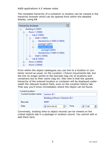The complete hierarchy of a container or location can be viewed in the hierarchy browser which can be opened from within the detailed display, using **F9**.



From within the object catalogues you can link to a location or container record as usual, on the *Location | Future movements* tab, but the link no longer points to the barcode (tag *vb*) of locations and containers but to their name (tag *te*). Also new is that the upward hierarchy of the entered location or container will be displayed underneath the relevant location field, even on the *Location history* tab. That way you'll know immediately where the object can be found.

| Current location      |                                                        |  |
|-----------------------|--------------------------------------------------------|--|
| Current location name | <b>Section SE1</b>                                     |  |
|                       | Building A/Room 3/Section SE 1                         |  |
| Barcode               | 40007                                                  |  |
| Date                  | Time<br>÷<br>$\sqrt{2014 - 04 - 03}$<br>$\sqrt{17:00}$ |  |

Conversely, existing links to object records can be viewed on the *Linked objects* tab in a package or location record. You cannot edit or add them here.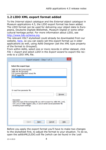## <span id="page-7-0"></span>**1.2 LIDO XML export format added**

To the *Internal object catalogue* and the *External object catalogue* in Museum applications 4.5, the LIDO export format has been added. The LIDO format can be used for delivering your object data to Europeana, Deutsche Digitale Bibliothek, Museum Digital or some other cultural heritage portal. For more information about LIDO, see [http://www.lido-schema.org.](http://www.lido-schema.org/)

The relevant XSLT stylesheet could already be downloaded from our website, [here,](http://www.adlibsoft.com/support/faqs/setting-up-the-lido-export-format-in-adlib) so you can easily set this export format up in older applications as well, using Adlib Designer (set the *XML type* property of the format to *Grouped*).

From within Adlib, select one or more records in either dataset, click *File* > *Export* and select *LIDO* in the *Export wizard* to export the records to a LIDO XML file.

| Export wizard - Step 1 of 3.                                                                                                                                                                             |  |
|----------------------------------------------------------------------------------------------------------------------------------------------------------------------------------------------------------|--|
| Select the export type                                                                                                                                                                                   |  |
| Adlib XML file (unstructured)<br>Adlib XML file (grouped)<br>CSV (comma separated values) file<br>ADLIB Tagged file<br><b>LIDO</b>                                                                       |  |
|                                                                                                                                                                                                          |  |
| Or read from parameter file<br><b>Browse</b>                                                                                                                                                             |  |
| Description<br>Select the type of the exchange file you wish to export to: Adlib XML (.xml),<br>CSV (.csv) or Adlib Tagged (.dat), or use an earlier saved parameter file<br>containing export settings. |  |
|                                                                                                                                                                                                          |  |

Before you apply the export format you'll have to make two changes to the stylesheet first, to adjust the format to your situation. To do so, open the *adlibXML2LIDO.xslt* file (which can be found in the *\xslt*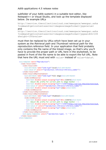subfolder of your Adlib system) in a suitable text editor, like Notepad++ or Visual Studio, and look up the template displayed below. De example URLs

```
http://service.thecollectioncloud.com/wwwopacx/wwwopac.ashx
?command=getcontent&server=images&imageformat=jpg&value=
and
```
http://service.thecollectioncloud.com/wwwopacx/wwwopac.ashx ?command=getcontent&server=images&imageformat=jpg&width=100 &height=100&value=

must then be replaced by URLs which have been set up in your system as the *Retrieval path* and *Thumbnail retrieval path* for the *reproduction.reference* field. In your application that field probably only contains the file name of the linked image, so that's why you'll have to provide the proper path or URL here in the stylesheet, to be pasted in front of the file name to be able to export the full URL. Note that here the URL must end with  $value =$  instead of  $value =  $\frac{2}{3}$  at  $a \frac{2}{3}$ .$ 

```
<xsl:template match="Reproduction">
  \langlelido:resourceSet>
   <lido:resourceID>
     <xsl:attribute name="lido:type">local</xsl:attribute>
      <xs1:value-of select="reproduction.reference/reference number"/>
   </lido:resourceID>
   <lido:resourceRepresentation>
      <xsl:attribute name="lido:type">full image</xsl:attribute>
      <lido:linkResource>
        <xsl:text disable-output-escaping="yes">&lt; ! [CDATA[</xsl:text>
        <!-- Adjust URL prefix for correct path to image handler -->
        <xsl:text disable-output-escaping="yes"><![CDATA[http://service.thecollectioncloud.
        <xs1:value-of select="reproduction.reference/reference number"/>
        <xsl:text disable-output-escaping="yes">]]&gt;</xsl:text>
     </lido:linkResource>
    </lido:resourceRepresentation>
   <lido:resourceRepresentation>
      <xsl:attribute name="lido:type">thumbnail</xsl:attribute>
      <lido:linkResource>
        <xsl:text disable-output-escaping="yes">&lt; ![CDATA[</xsl:text>
        <!-- Adjust URL prefix for correct path to image handler -->
        <xsl:text disable-output-escaping="yes"><![CDATA[http://service.thecollectioncloud.
        <xs1:value-of select="reproduction.reference/reference_number"/>
        <xsl:text disable-output-escaping="yes">]]&gt;</xsl:text>
      </lido:linkResource>
    </lido:resourceRepresentation>
    <xsl:apply-templates select="reproduction.type[. != '']" />
 </lido:resourceSet>
</xsl:template>
```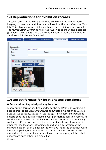# <span id="page-9-0"></span>**1.3 Reproductions for exhibition records**

To each record in the *Exhibitions* data source in 4.5, one or more images, movies or sound files can be linked on the new *Reproductions* tab. This allows you to register photos of the exhibition, for example. The *reproduction.reference* field (tag *FN*) links to the *media* database (previous called *photo*), like the *reproduction.reference* field in other databases links to *media* as well.

| <b>Exhibition details</b>      | Documentation  | Linked objects                | <b>Reproductions</b> | Management details |
|--------------------------------|----------------|-------------------------------|----------------------|--------------------|
| Reproduction                   |                |                               |                      |                    |
| Reference                      | IMG_3147.jpg   |                               |                      |                    |
| Type                           |                | Format                        |                      | Date               |
| Notes                          |                |                               |                      |                    |
| <b>BXENACA</b><br>IMG_3147.jpg | Fdlih<br>31.1% | $\mathrm{d} \hat{\mathrm{d}}$ |                      |                    |

# <span id="page-9-1"></span>**1.4 Output formats for locations and containers**

## ■ Bare and packaged objects by location

A new output format has been added to the *Location and containers* data source, called *Bare and packaged objects by location* (BareAnd-PackagedObjectsByLocation.ada/bin). It lists bare and packaged objects (not the packages themselves) per marked location record. All sub-locations of any marked location will be processed automatically, so it's best if your record selection doesn't include sub-locations of other marked locations. Of objects found at a sub-location of the marked location, or in a package, it won't be indicated that they were found in a package or at a sub-location: all objects present at the marked location(s), at its sub-locations or in packages, will be listed underneath each other in a single list.

23-4-2019 6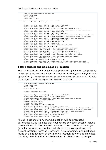```
Bare and nackaged objects by location
Date: 21/05/2014
Time: 17:15:46
Report run by: erik
                             ----------------
Selected location: Building A
Object: < no object name> (1131) - The Betrayal of Christ
Object: < no object name> (1106) - The Annunciation
Object: Photograph (1995/00030/g) - Self portrait (reflected in mirror)
Object: < no object name> (PD.52-1973) - An allegorical monument to Sir Isaac Newton
Object: < no object name> (2043) - Archbishop Laud
Object: < no object name> (1490) - The Magic Apple Tree
Object: <no object name> (1192) - Village festival in honour of St. Hubert and St. Ant
Object: <no object name> (2151) - Mary Magdalene at the Door of Simon the Pharisee
Object: <no object name> (119) - Virgin and Child with St John the Baptist
Object: < no object name> (2476) - The field of Waterloo
Object: < no object name> (2458) - The Old Bedford
Object: < no object name> (2546) - Ecce Homo
Object: < no object name> (143) - Hermes, Herse and Aglauros
Object: < no object name> (2387) - Au Café
Object: Photograph (1995/00017/g) - Still Life on Rocks (untitled)
Object: Photograph (1995/00030/f) - Self portrait (in cupboard)
Object: Photograph (1995/00030/h) - Self portrait (resembling a man)
Object: Photograph (1995/00030/j) - Self portrait (as weight trainer)
Object: Photograph (1995/00030/k) - Self portrait (in Barbe Bleu costume)
Object: Photograph (1995/00015/j) - Self portrait (with ivy garland)
Object: Negative (1995/00027/o) - Female Head in Glass Dome
Object: Negative (1995/00023/w) - Head and Pillows
Object: Negative (1995/00022/w) - Self portrait (in robe with masks attached)
Object: Photograph (1995/00030/q) - Self portrait (in cloak with cloaked figure)
```
#### ■ Bare objects and packages by location

The 4.4 output format *Objects and packages by location* (ObjectsBy-Location.ada/bin) has been renamed to *Bare objects and packages by location* (BareObjectsAndPackagesByLocation.ada/bin). It lists bare objects and packages per marked location.

```
Bare objects and packages by location
n = -21/05/2014Time: 17:14:05
Report run by: erik
Selected location: Building A
Object: < no object name> (1131) - The Betrayal of Christ
Object: < no object name> (1106) - The Annunciation
Object: Photograph (1995/00030/g) - Self portrait (reflected in mirror)
Package: Standard box C10003 (C10003)
Package: package1 (p001)
Package: package2 (p002)
Package: Standard box C10002 (C10002)
Object: < no object name> (1490) - The Magic Apple Tree
Object: < no object name> (1192) - Village festival in honour of St. Hubert and St. Ant
Object: <no object name> (2151) - Mary Magdalene at the Door of Simon the Pharisee
Object: < no object name> (119) - Virgin and Child with St John the Baptist
Object: < no object name> (2476) - The field of Waterloo
Object: < no object name> (2458) - The Old Bedford
Object: < no object name> (2546) - Ecce Homo
```
All sub-locations of any marked location will be processed automatically, so it's best that your record selection doesn't include sub-locations of other marked locations. The contents of packages (smaller packages and objects which have the overpack as their current location) won't be processed. Also, of objects and packages found at a sub-location of the marked location, it won't be indicated that they were found at a sub-location: all objects and packages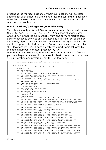present at the marked locations or their sub-locations will be listed underneath each other in a single list. Since the contents of packages won't be processed, you should only mark locations in your record selection, not containers.

#### ◼ **Full locations/packages/objects hierarchy**

The other 4.4 output format *Full locations/packages/objects hierarchy* (LocationToObjectHierarchy.ada/bin) has been changed somewhat. It now prints the full hierarchy from one or more marked locations or packages down to any smallest packages and/or (packed or unpacked) objects inside it. Of each location or package, the barcode number is printed behind the name. Package names are preceded by "P:", locations by "L:". Of each object, the object name followed by the object number is printed, preceded by "O:".

Note that it can take a long time for these output formats to finish if you have large databases: in that case it's best to select no more than a single location and preferably not the top location.

```
-- FULL LOCATIONS (L)/PACKAGES (P)/OBJECTS (O) HIERARCHY --
                                                                21/05/14_____________________
> Building A (10007)
  .. 0: < no object name> (1131) - The Betrayal of Christ
  .L: Room 1 (10006)...L: Cab A (10002)......L: Shelf 1 (10001)
  \ldots \ldots \ldots (10 object name) (1106) - The Annunciation
  ........O: Photograph (1995/00030/g) - Self portrait (reflected in mirror)
  \ldots \ldots \ldotsP: Standard box C10003 (C10003)
  \ldots \ldots \ldotsP: Standard box C10001 (C10001)
  ............. < no object name> (PD.52-1973) - An allegorical monument to Sir Isaa
  \ldots \ldotsP: package1 (p001)
  ..........O: < no object name> (2043) - Archbishop Laud
  \ldots \ldots \ldotsP: package2 (p002)
  \ldots \ldots \ldotsP: package3 (p003)
  ...,...,P: Standard box C10002 (C10002)......L: Shell2 (10005)\ldots \ldots \ldotsP: Standard box C10004 (C10004)
  ...L: Cab B (10003)
  \ldots \ldots \ldots Shelf 1 (20001)
  ..., L: Shell2 (20005)........ O: < no object name> (1490) - The Magic Apple Tree
  ........ O: < no object name> (1192) - Village festival in honour of St. Hubert and
  ........ O: < no object name> (2151) - Mary Magdalene at the Door of Simon the Phari
  ........O: < no object name> (2476) - The field of Waterloo
  ........O: < no object name> (2458) - The Old Bedford
  \ldots \ldots \ldots (: <no object name> (2546) - Ecce Homo
  ........ O: < no object name> (143) - Hermes, Herse and Aglauros
  \ldots \ldots \ldots (2387) - Au Café
  ........O: Photograph (1995/00017/g) - Still Life on Rocks (untitled)
  ........O: Photograph (1995/00030/h) - Self portrait (resembling a man)
  ........ O: Photograph (1995/00030/j) - Self portrait (as weight trainer)
  ........ O: Photograph (1995/00030/k) - Self portrait (in Barbe Bleu costume)
  ........ O: Negative (1995/00027/o) - Female Head in Glass Dome
  \ldots \ldots \ldots O: Negative (1995/00023/w) - Head and Pillows
  ........ O: Negative (1995/00022/w) - Self portrait (in robe with masks attached)
  ......... O: Photograph (1995/00030/q) - Self portrait (in cloak with cloaked figu
  ........O: Photograph (1995/00030/r) - Self portrait (with round frame)
  ........ O: Photograph (1995/00030/t) - Self portrait (kneeling, naked, with mask
  ........ O: Photograph (1995/00030/u) - Self portrait (with Nazi badge between he
  ......... O: Photograph (1995/00031/c) - Self portrait (lying on leopard skin)
```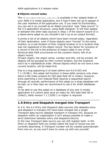## ■ Objects moved today

The ObjectsMovedToday.ada/bin is available in the *\adapls* folder of your Adlib 4.5 model application, but it hasn't been set up to appear in the user interface of the application yet. If you need its functionality, you can set it up yourself as an *Adapl command* type "data source" in the 4.5 application structure, using Adlib Designer. It will then appear in between the other data sources in *Step 1* of the *Search wizard* (it is a stand-alone adapl so you shouldn't set it up as an output format).

It prints a list of all objects which have been moved today, regardless of their destination, even if those objects were "moved" to the same location, to a sub-location of their original location or to a location that was not registered in the object record. The key factor for inclusion of a record in the list is the presence of today's date in any of the *Removal date* field occurrences on the *Location history* tab of an object record.

Of each object, the object name, number and title, will be printed. All objects will be grouped by their current location, but the locations won't be in alphabetical order. Moved objects which do not have a new current location, will be listed first.

Due to a bug appearing in at least adlwin.exe 6.6.0.922 and 7.1.13198.1, this adapl will function in these Adlib versions only when there is NO index present for ISO date field *SE* in *Collect*. However, since searching a non-indexed field requires a sequential search through all records, performance of this adapl on a large database will be bad, so in that case we recommend to use it for small databases only.

To be able to use this adapl on a database of any size in model application 4.5 (which does have an index for ISO date field *SE* in *Collect*), Adlib version 7.1.13200.1 or higher is required.

# <span id="page-12-0"></span>**1.5 Entry and Despatch merged into Transport**

In 4.5, the 4.4 *Entry* and *Despatch* data sources (the datasets *entry* and *despatch* in *transpor.inf*) have been merged into a single *Transport* data source (dataset *transport* in *transpor.inf*), because on despatch within an organisation it isn't always possible to make a strict distinction between entry and despatch/returns.

In the new *Transport* data source you can still register both: in the *Entry or despatch* field you simply select the type of record you are currently describing. A *Transport number* will be created automatically from now on, so you won't have to come up with one yourself.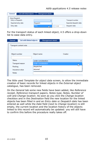| List with linked objects<br>General | Management details |              |                         |
|-------------------------------------|--------------------|--------------|-------------------------|
| Entry/Despatch                      |                    |              |                         |
| Entry or Despatch                   |                    |              | <b>Transport number</b> |
| Expected entry date                 | Despatch           |              | Expected despatch date  |
| Entry date                          | Entry              | $\Box$ 13:08 | Despatch date           |

For the transport status of each linked object, 4.5 offers a drop-down list to ease data entry.

| Creator |  |
|---------|--|
|         |  |
|         |  |
|         |  |
|         |  |
|         |  |
|         |  |
|         |  |
|         |  |
|         |  |

The little used *Template for object data* screen, to allow the immediate creation of basic records for linked objects in the *External object catalogue*, has been removed.

On the *General* tab some new fields have been added, like *Reference receipt*, *Reference transport papers*, *Notes type*, *Notes*, *Number of colli* and *Change location*. As soon as you click the *Change location* checkbox and in the *Destination* field the new location for the linked objects has been filled in and an *Entry date* or *Despatch date* has been entered as well while the *Date* field (next to *Change location*) is still empty, the current location and the location history of the objects linked to this record will automatically be updated: you will still have to confirm this before the procedure really takes off.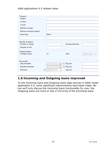| Transport<br>Shipper       |                                       |                  |                         |
|----------------------------|---------------------------------------|------------------|-------------------------|
| Contact                    |                                       |                  |                         |
| Courier                    |                                       |                  |                         |
| Reference receipt          |                                       |                  |                         |
| Reference transport papers |                                       |                  |                         |
| Notes type                 | <b>Notes</b>                          |                  |                         |
|                            |                                       |                  |                         |
| Number of objects          |                                       |                  |                         |
| Number in receipt          |                                       | Number delivered |                         |
| Number of colli            |                                       |                  |                         |
| Change location            |                                       |                  |                         |
| Change location            | П                                     | Date             | $2015 - 03 - 25$ $\vee$ |
|                            |                                       |                  |                         |
| <b>Documents</b>           |                                       |                  |                         |
| Entry template             | $\checkmark$                          | $\Box$ Dig. doc. |                         |
| Despatch template          | $\mathbf{r}_{\mathbf{r},\mathbf{r}'}$ | $\Box$ Dig. doc. |                         |
| <b>Delivered</b>           | 2015-03-25<br>L<br>v                  | Dig. doc.        |                         |

# <span id="page-14-0"></span>**1.6 Incoming and Outgoing loans improved**

To the *Incoming loans* and *Outgoing loans* data sources in Adlib model application 4.5, some significant improvements have been made. Below we'll only discuss the *Incoming loans* functionality for now: the *Outgoing loans* are more or less a mirroring of the *Incoming loans*.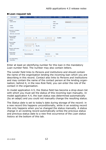| <b>Loan request</b>         | Objects              |                           | Objects - compact list and procedures | Contract           | Transport | Correspondence |
|-----------------------------|----------------------|---------------------------|---------------------------------------|--------------------|-----------|----------------|
| General                     |                      |                           |                                       |                    |           |                |
| Loan number                 |                      |                           |                                       | <b>Status</b>      | announced | $\checkmark$   |
|                             |                      |                           |                                       | <b>Status date</b> |           |                |
| Lender                      |                      |                           | Place                                 |                    |           |                |
| Contact                     |                      |                           | Role                                  |                    |           |                |
| Internal co-ordination      |                      |                           |                                       |                    |           |                |
| Coordinator                 |                      |                           |                                       |                    |           |                |
| Administr, concerned        |                      |                           |                                       |                    |           |                |
| <b>Request details</b>      |                      |                           |                                       |                    |           |                |
| <b>Period from</b>          | $\square$ 2015-03-30 | To<br>мI                  | □ 2015-03-30<br>$\checkmark$          | Duration           | week(s)   |                |
| Reason                      |                      |                           | $\checkmark$                          |                    |           |                |
| <b>Request letter</b>       |                      |                           |                                       |                    |           |                |
| Template                    |                      | 口<br>$\checkmark$         |                                       |                    |           |                |
| Date                        | $\square$ 2015-03-30 | Dig. doc.<br>$\checkmark$ |                                       |                    |           |                |
| <b>Request confirmation</b> |                      |                           |                                       |                    |           |                |
| Confirmed                   | $\Box$ 2015-03-30    | Dig. doc.<br>$\checkmark$ |                                       |                    |           |                |
| Actions/tasks               |                      |                           |                                       |                    |           |                |
| Action/task                 | Responsible person   |                           | Date done                             | Notes              |           |                |
|                             |                      |                           | $2015 - 03 - 30$<br>$\checkmark$      |                    |           |                |
| Loan status history         |                      |                           |                                       |                    |           |                |
| Loan status                 |                      |                           | Date                                  |                    |           |                |

#### ■ Loan request tab

Enter at least an identifying number for this loan in the mandatory *Loan number* field. The number may also contain letters.

The *Lender* field links to *Persons and institutions* and should contain the name of the organisation lending the incoming loan which you are describing in this record. *Contact* also links to *Persons and institutions* and may contain the name of the contact person at the lending organisation; behind it, in the new *Role* field, you can enter the role of the contact in the organisation.

In model application 4.5, the *Status* field has become a drop-down list with which you must set the status of this incoming loan manually. In model application 4.4, the loan status was determined automatically (by an adapl) and you could not manually change the resulting status.

The *Status date* is set to today's date during storage of the record: in a new record this happens unconditionally, while in an existing record this only happens when you've changed the status manually. A status change in an existing record automatically writes the previous status and previous status date to a new first occurrence of the *Loan status history* at the bottom of this tab.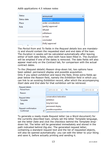| <b>Status</b> | announced           |  |
|---------------|---------------------|--|
| Status date   | announced           |  |
| Place         | under consideration |  |
| Role          | (partly) approved   |  |
|               | refused             |  |
|               | withdrawn           |  |
|               | on loan             |  |
|               | concluded           |  |
|               | (fully) approved    |  |

The *Period from* and *To* fields in the *Request details* box are mandatory and should contain the requested start and end date of the loan. The *Duration* in weeks will be calculated automatically after leaving either of both date fields, when both have been filled in. The *Duration* will be emptied if one of the dates is removed. The date fields will also appear read-only on the *Contract* tab, for comparison with the actual contract dates.

To the (*Request details*) *Reason* drop-down list, two options have been added: *permanent display* and *possible acquisition*. Only if you select *exhibition* and leave the field, three extra fields appear below the *Reason* field, namely the *Exhibition* field in which you

can link to an existing *Exhibition* record, after which the accompanying *Start date* and *End date* for that exhibition will be retrieved.

| Request details<br>Period from<br>Reason | To<br>$\sqrt{2015-03-30}$<br>$\Box$ 2015-03-30<br>$\checkmark$                | $\checkmark$<br>$\overline{\phantom{a}}$ |
|------------------------------------------|-------------------------------------------------------------------------------|------------------------------------------|
| Request letter<br>Template<br>Date       | conservation/restoration<br>exhibition<br>long term loan<br>permanent display |                                          |
| Request confirmation<br>Confirmed        | possible acquisition                                                          |                                          |

To generate a ready-made *Request letter* (as a Word document) for the currently described loan, simply set the letter *Template* language, set the letter *Date* and click the checkbox behind the *Template* dropdown list. The letter will be generated immediately and stored in the path indicated behind *Dig.doc*. The generated request letter, containing a standard request text and the list of requested objects, will also be opened automatically: you can edit the letter to your liking and save it, before actually printing and sending it.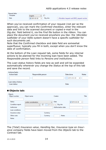| Request letter |              |           |                                            |
|----------------|--------------|-----------|--------------------------------------------|
| Template       | Enalish      |           |                                            |
| Date           | √ 2015-03-30 | Dia. doc. | /Worddoc/request-out/L8932_request-out.doc |

When you've received confirmation of your request (not per se the approval), you can mark the *Confirmed* checkbox, enter the relevant date and link to the scanned document or copied e-mail in the *Dig.doc.* field behind it, via the *Find file* button in the ribbon. You can place the document you've received anywhere you like: the *\Worddoc*  subfolder of your Adlib system doesn't have a specific subfolder for such documents yet.

Note that the *Confirmed* checkbox and date field are somewhat superfluous: typically you fill in both, except when you don't know the date of confirmation.

At the bottom of the *Loan request* tab, some fields for any internal actions to be planned for the incoming loan have been added. The *Responsible person* field links to *Persons and institutions*.

The *Loan status history* fields are new as well and will be expanded automatically whenever you change the *Status* at the top of this tab and save the record.

| Actions/tasks<br>Action/task       | Responsible person | Date done                               | <b>Notes</b> |
|------------------------------------|--------------------|-----------------------------------------|--------------|
|                                    |                    | $\sqrt{2015 - 03 - 30}$<br>$\checkmark$ |              |
| Loan status history<br>Loan status |                    | Date                                    |              |

## ■ Objects tab:

| Object number    | Object name         | Creator                                | Title                               |
|------------------|---------------------|----------------------------------------|-------------------------------------|
| <b>Status</b>    | under consideration | Date<br>$\vee$                         | $\sqrt{2015-03-30}$<br>$\checkmark$ |
| Condition report | 口<br>v              | Dig. doc<br>$\sqrt{2015-03-31}$ $\vee$ |                                     |
| Authoriser       |                     | Authorisation date                     |                                     |
| Loan conditions  |                     |                                        |                                     |
| Insurance value  | Currency            |                                        |                                     |
| Other costs      | Currency            | <b>Notes</b>                           |                                     |
| <b>Notes</b>     |                     |                                        |                                     |

The (*Total*) *Insurance value*, *Handling fee*, *Insurance type* en *Insurance company* fields have been moved from the *Objects* tab to the *Contract* tab.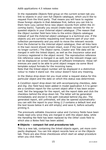In the repeatable *Objects* field group on the current screen tab you link to objects in your own full *Objects* catalogue, which you'd like to request from the third party. That means you will have to register those foreign objects in that database first, before you can link to them here (you cannot force new object records from within the *Incoming loans*). Typically you would create basic records for the requested objects in your *External object catalogue*. (The reason that the *Object number* field here links to the entire *Objects* catalogue instead of just the *External object catalogue* is a technical one: if the objects you are currently requesting ever become part of your own collection permanently and you wish to move the relevant records from the *External* to the *Internal object catalogue*, then all links here in the loan record should remain intact, even if the loan record itself is no longer current.) The *Object name*, *Creator* and *Title* data will be merged in with the linked object, as well as the *Insurance value* and *Currency* registered in the object record. The reproduction reference link reference value is merged in as well, but the relevant image cannot be displayed on screen because of software limitations: these references *are* used to be able to print object images via some Word template output formats for the incoming loans.

Note that the linked object number will be displayed in a distinctive colour to make it stand out: the colour doesn't have any meaning.

In the *Status* drop-down list you must enter a request status for this particular object and the date on which this status was determined.

A *Condition report* drop-down list with accompanying checkbox, date and *Dig. Doc* field have been added in model application 4.5 to generate a condition report for the current object after it has been examined. Set the language for the report, set the report date and click the checkbox behind the drop-down list. The letter will be generated immediately and stored in the path indicated behind *Dig.doc*. The generated report, still unfinished, will also be opened automatically: you can edit the report to your liking (*l.3* contains a default text and the text boxes below it are still empty) and save it, before actually printing it.

The previously editable *Insurance value* and *Currency* fields have been made read-only since they are merged in with the object data, while the *Handling fee* field has been replaced by the *Other costs* field to which also a *Notes* field has been added.

## ■ Objects – compact list and procedures tab

This is a new tab, containing the linked objects again, yet more compactly displayed. You can link object records here or on the *Objects* tab. There are also three checkboxes which start an adapl procedure when you click them.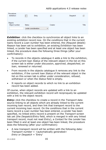| Procedures<br>Exhibition | <br>                                 | Entry |              | П       | Despatch |              |
|--------------------------|--------------------------------------|-------|--------------|---------|----------|--------------|
| Objects<br>Object number | <b>Status</b><br>under consideration |       | $\checkmark$ | Creator |          | <b>Title</b> |

**Exhibition**: click the checkbox to synchronize all object links to an existing exhibition record now. On the conditions that in the current loans record a *Loan number* has been entered, the (*Request details*) *Reason* has been set to *exhibition*, an existing *Exhibition* has been linked, a *Lender* has been specified and at least one object has been linked, the procedure does the following three things (after your confirmation):

- To records in the objects catalogue it adds a link to the exhibition, if the current loan *Status* of the relevant object in the list on this screen tab is either *under discussion*, *approved*, *despatched*, *on loan*, *renewed* or *returned*.
- From records in the objects catalogue it removes any link to the exhibition, if the current loan *Status* of the relevant object in the list on this screen tab is either *under consideration*, *refused*, *withdrawn* or when the *Status* field is empty.
- It reports on object records to which no link to an exhibition record has been added.

Of course, when object records are updated with a link to an exhibition, the relevant exhibition record will reciproquely be updated with a link to the object record.

*Entry***:** click the checkbox to create a record in the *Transport* data source linking to all objects which are already linked to the current incoming loan record, and then link that transport record to the current incoming loan record. On the conditions that in the current loans record a *Loan number* has been entered, a *Lender* has been specified, no linked entry record is present on the *Transport* screen tab yet (the *Despatch/Entry* field, which is merged in with any linked transport record, must not read *Entry*), a *Contact* for the *Lender* has been filled in and at least one object has been linked, the procedure does the following (after your confirmation):

• A new transport record will be written with the following data: *Transport number* = <automatically generated> *Entry or Despatch* = 'Entry'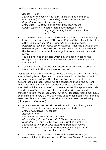```
RPason = 'loan'
Destination = <your institution> (loans.txt line number 27)
(Destination) Contact = (Lender) Contact from loan record
Depositor = Lender from loan record
Entry date = Contract period from from loan record
(Input) Notes = ' Record created automatically from
                  outgoing/incoming loans' (loans.txt line
                  number 28)
```
• To the new transport record links will be added to objects already linked to the loan record if the loan *Status* of the relevant object is either *under consideration*, *under discussion*, *approved*, *despatched*, *on loan*, *renewed* or *returned*. Then the *Status* of the relevant objects in the loan record will be set to *despatched* and the *Transport number* will be merged in from the new transport record.

You'll be notified of objects which haven't been linked to the transport record and if there aren't any objects with a relevant status at all.

• You'll be notified that the loan record must be saved in order to store the link to the new transport record.

**Despatch:** click the checkbox to create a record in the *Transport* data source linking to all objects which are already linked to the current incoming loan record, and then link that transport record to the current incoming loan record. On the conditions that in the current loans record a *Loan number* has been entered, a *Lender* has been specified, a linked entry record is present on the *Transport* screen tab (the *Despatch/Entry* field, which is merged in with any linked transport record, must read *Entry*) while no despatch record may have been linked here yet, a *Contact* for the *Lender* has been filled in and at least one object has been linked, the procedure does the following (after your confirmation):

- A new transport record will be written with the following data: *Transport number* = <automatically generated> *Entry or Despatch* = 'Despatch'  $Reason = 'lean'$ *Destination* = *Lender* from loan record (*Destination*) *Contact* = (*Lender*) *Contact* from loan record *Depositor* = <your institution> (*loans.txt* line number 27) *Despatch date* = (*Contract period*) *To* from loan record (*Input*) *Notes* = 'created from outgoing/incoming LOANS' (*loans.txt* line number 28)
- To the new transport record links will be created to objects already linked to the loan record if the loan *Status* of the relevant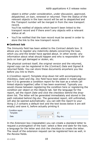object is either *under consideration*, *under discussion*, *approved*, *despatched*, *on loan*, *renewed* or *returned*. Then the *Status* of the relevant objects in the loan record will be set to *despatched* and the *Transport number* will be merged in from the new transport record.

You'll be notified of objects which haven't been linked to the transport record and if there aren't any objects with a relevant status at all.

• You'll be notified that the loan record must be saved in order to store the link to the new transport record.

## ◼ **Contract tab**

The *Immunity* field has been added to the *Contract details* box. It allows you to register any indemnity details concerning the loan, which you and the lender have agreed about. In other words: any information about what should happen and who is responsible if objects on loan get damaged or stolen, etc.

The physical contract itself, the original version and the returned, signed copy can be registered in the (*Contract*) *Date* and *Signed & returned* fields. You can store these documents anywhere you like before you link to them.

A (*Condition report*) *Template* drop-down list with accompanying checkbox, *Date* and *Dig. Doc* field have been added in model application 4.5 to generate a condition report for the loan as a whole (all linked objects together) after it has been examined. Typically you would choose between registering the condition here or registering the condition per object on the *Objects* tab. Set the language for the report, set the report *Date* and click the checkbox behind the dropdown list. The letter will be generated immediately and stored in the path indicated behind *Dig.doc*. The generated report, still unfinished, will also be opened automatically: you can edit the report to your liking (*l.3* contains a default text and the text boxes below it are still empty) and save it, before actually printing it

| Condition report |                                  |           |  |
|------------------|----------------------------------|-----------|--|
| Template         |                                  |           |  |
| Date             | $2015 - 03 - 30$<br>$\checkmark$ | Dig. doc. |  |

In the *Extension* box (repeatable) you can create a standard letter to request a prolongation of the loan: select a *New end date* for the loan, a language for the letter and click the checkbox to create the letter. The result of the extension request can be registered here as well, in the *Review* fields.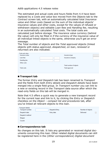The estimated and actual costs and hours fields from 4.4 have been replaced by a *Costs and value* box moved from the *Objects* tab to the *Contract* screen tab, with an automatically calculated total *Insurance value* and *Other costs* (based on the sum of the individual objects' insurance values and other costs, except for the values of refused or withdrawn objects) and editable *Loan fees* and *Handling fee*, resulting in an automatically calculated *Total costs*. The total costs are calculated just before storage. The insurance value currency (behind the value) will only be filled in if the currency of the insurance value of all individual linked objects is the same, otherwise you'll get an error message.

The *Total number of objects* and the *Total approved* objects (linked objects with status *approved*, *despatched*, *on loan*, *renewed* or *returned*) are also indicated.

| Costs and value<br>Insurance value | Insurance type          |  |
|------------------------------------|-------------------------|--|
| Loan fees                          | Insurance company       |  |
| Handling fee                       |                         |  |
| Other costs                        |                         |  |
|                                    | Total number of objects |  |
| <b>Total costs</b>                 | <b>Total approved</b>   |  |
|                                    |                         |  |
|                                    |                         |  |

## ■ **Transport tab**

The former *Entry and Despatch* tab has been renamed to *Transport* and the fields from both *Entry details* and *Despatch details* have been merged into a single field group. In *Transport number* you can link to a new or existing record in the *Transport* data source after which the read-only fields on this tab will be merged in.

Note that 4.5 offers a quick way to generate a new transport record for the current loan and link to it, by clicking the *Entry* or *Despatch* checkbox on the *Object – compact list and procedures* tab, after you've linked all relevant objects to this loan.

| <b>Transport details</b><br>Transport number | Despatch/Entry | Number of objects |
|----------------------------------------------|----------------|-------------------|
| Despatch date                                | Entry date     | <b>Delivered</b>  |
| Despatch method                              |                |                   |
| Shipper                                      |                |                   |
| Courier                                      |                |                   |

## ■ Correspondence tab

No changes on this tab. It lists any generated or received digital documents concerning this loan. Other related digital documents can still be registered here in the (*Other correspondence*) *Digital document*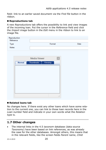field: link to an earlier saved document via the *Find file* button in the ribbon.

### ■ **Reproductions tab**

A new *Reproductions* tab offers the possibility to link and view images of the incoming loan. Put the cursor in the *Reference* field and click the *Import image* button in the *Edit* menu in the ribbon to link to an image file.

| Reproduction<br>Reference |                     |           |             |      |
|---------------------------|---------------------|-----------|-------------|------|
| Type                      |                     | Format    |             | Date |
| Notes                     |                     |           |             |      |
|                           |                     |           |             |      |
|                           | <b>Media Viewer</b> |           | $\mathbf x$ |      |
| <b>Normal</b>             | <b>Thumbnails</b>   | Filmstrip |             |      |
|                           |                     |           |             |      |
|                           |                     |           |             |      |
|                           |                     |           |             |      |
|                           |                     |           |             |      |
|                           |                     |           |             |      |
|                           |                     |           |             |      |
|                           |                     |           |             |      |
|                           |                     |           |             |      |
|                           |                     |           | пĤ,         |      |

## ◼ **Related loans tab**

No changes here. If there exist any other loans which have some relation to the current one, you can link to those loan records here in the *Loan number* field and indicate in your own words what the *Relation type* is.

# <span id="page-23-0"></span>**1.7 Other changes**

• The internal links in the 4.5 *taxonom* database (data source *Taxonomy*) have been based on link references, as was already the case for the other databases. Amongst others, this means that in the relevant fields, like the screen fields *Parent name*, *Child*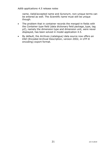*name*, *Valid/accepted name* and *Synonym*, non-unique terms can be entered as well. The *Scientific name* must still be unique though.

- The problem that in container records the merged-in fields with the *Container type* field (data dictionary field package\_type, tag *p2*), namely the dimension type and dimension unit, were never displayed, has been solved in model application 4.5.
- By default, the *Archives (catalogue)* data source now offers an *EAD* (Encoded Archival Description, version 2002, in UTF-8 encoding) export format.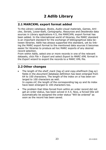# <span id="page-26-1"></span><span id="page-26-0"></span>**2.1 MARCXML export format added**

To the *Library catalogue*, *Books*, *Audio-visual materials*, *Games*, *Articles*, *Serials*, *Loose-leafs*, *Cartography*, *Resources* and *Desiderata* data sources in Library applications 4.5, the MARCXML export format has been added. In the international world of libraries, the MARC standard is an important standard for the exchange of bibliographical data between libraries. Adlib has always supported this standard, yet by linking the MARC export format to the mentioned data sources it becomes easier for libraries to produce ad hoc MARC exports of any desired record selection.

From within Adlib, select one or more records in one of the relevant datasets, click *File* > *Export* and select *Export to MARC-XML format* in the *Export wizard* to export the records to a MARC XML file.

# <span id="page-26-2"></span>**2.2 Other changes**

- The length of the *shelf\_mark* (tag *si*) and *copy.shelfmark* (tag *ey*) fields in the *document* database definition has been enlarged from 64 to 100 characters. The length of the index on *si* has been enlarged to 100 characters as well. In *copies.inf*, the length of the corresponding tag *ey* and its index have been enlarged to 100 characters too.
- The problem that titles forced from within an order record did not get an order status, has been solved in 4.5. Now, a forced title will automatically be assigned the order status "Will be ordered" as soon as the record has been saved.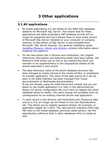# <span id="page-28-1"></span><span id="page-28-0"></span>**3.1 All applications**

- All model applications 4.5 are based on the Adlib SOL database platform for Microsoft SQL Server. This means that for these applications the Adlib proprietary CBF database format will no longer be supported and you'll always have to have some version of Microsoft SQL Server installed on your computer or company network. A free edition of SQL Server is also available from Microsoft: SQL Server Express. Our general installation guide *[Installing Museum, Library and Archive](http://www.adlibsoft.com/support/manuals/installation-guides/installation-of-adlib-museum-library-and-archive)* contains information about installing this platform.
- On the *Description* tab in *Persons and institutions*, the (*Digital references*) *Description* and *Reference* fields have been added. The *Reference* field allows you to link to any desired file which you consider to be supplementary to the biographical details of the person described in this record.
- The data dictionary name of the *photo* database structure has been changed to *media* (stored in the *media.inf* file), to emphasize its broader application. The name of the data source as it can be seen in the Adlib interface has been changed from *Visual documentation* to *Multimedia documentation*. If you are already using the Adlib Movement module and you are about to use model application 4.5, then in the *AdmoveServer-Setup.xml* server configuration file you'll have to replace the *photo* database name by *media*. The name change will probably have no consequences for an existing Internet Server web application.
- To each record in the *Persons and institutions* and *Thesaurus* data source in 4.5, an image can be linked on the new *Reproductions* tab. This allows you to register passport photos, for example, or applicable images for a term. The *reproduction.reference* field (tag *FN*) links to the *media* database (previous called *photo*), like the *reproduction.reference* field in other databases links to *media* as well.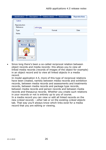| Identification                                   | Description                           | Address details | Relationships | <b>Reproductions</b> |
|--------------------------------------------------|---------------------------------------|-----------------|---------------|----------------------|
| Calvin                                           |                                       |                 |               |                      |
| Reproduction<br>Reference                        | calvin.jpg                            |                 |               |                      |
| Type                                             |                                       | Format          |               | Date                 |
| <b>Notes</b>                                     |                                       |                 |               |                      |
| ЕΙ<br>回<br>$\Box$<br><b>Normal</b><br>calvin.jpg | $\Sigma$<br>⊩⊧<br>70<br>$\mathcal{A}$ |                 |               |                      |

• Since long there's been a so-called reciprocal relation between object records and media records: this allows you to view all linked media records (records of images of the object for example) in an object record and to view all linked objects in a media record.

In model application 4.5, more of this type of reciprocal relations have been created, namely between media records and exhibition records, between media records and assessments and treatments records, between media records and package type records, between media records and person records and between media records and thesaurus records. Whether you create such relations in your records or not is entirely up to you of course.

In a media record you can view or edit all linked records on the new *Linked records – other* tab or on the existing *Linked objects* tab. That way you'll always know which links exist for a media record that you are editing or viewing.